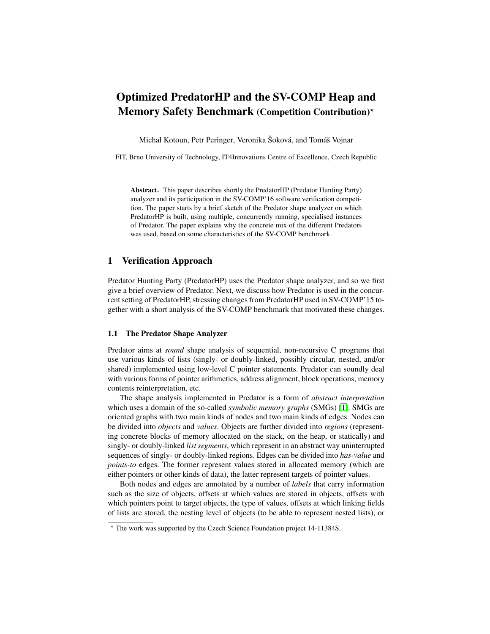# Optimized PredatorHP and the SV-COMP Heap and Memory Safety Benchmark (Competition Contribution)?

Michal Kotoun, Petr Peringer, Veronika Šoková, and Tomáš Vojnar

FIT, Brno University of Technology, IT4Innovations Centre of Excellence, Czech Republic

Abstract. This paper describes shortly the PredatorHP (Predator Hunting Party) analyzer and its participation in the SV-COMP'16 software verification competition. The paper starts by a brief sketch of the Predator shape analyzer on which PredatorHP is built, using multiple, concurrently running, specialised instances of Predator. The paper explains why the concrete mix of the different Predators was used, based on some characteristics of the SV-COMP benchmark.

### 1 Verification Approach

Predator Hunting Party (PredatorHP) uses the Predator shape analyzer, and so we first give a brief overview of Predator. Next, we discuss how Predator is used in the concurrent setting of PredatorHP, stressing changes from PredatorHP used in SV-COMP'15 together with a short analysis of the SV-COMP benchmark that motivated these changes.

#### 1.1 The Predator Shape Analyzer

Predator aims at *sound* shape analysis of sequential, non-recursive C programs that use various kinds of lists (singly- or doubly-linked, possibly circular, nested, and/or shared) implemented using low-level C pointer statements. Predator can soundly deal with various forms of pointer arithmetics, address alignment, block operations, memory contents reinterpretation, etc.

The shape analysis implemented in Predator is a form of *abstract interpretation* which uses a domain of the so-called *symbolic memory graphs* (SMGs) [\[1\]](#page-3-0). SMGs are oriented graphs with two main kinds of nodes and two main kinds of edges. Nodes can be divided into *objects* and *values*. Objects are further divided into *regions* (representing concrete blocks of memory allocated on the stack, on the heap, or statically) and singly- or doubly-linked *list segments*, which represent in an abstract way uninterrupted sequences of singly- or doubly-linked regions. Edges can be divided into *has-value* and *points-to* edges. The former represent values stored in allocated memory (which are either pointers or other kinds of data), the latter represent targets of pointer values.

Both nodes and edges are annotated by a number of *labels* that carry information such as the size of objects, offsets at which values are stored in objects, offsets with which pointers point to target objects, the type of values, offsets at which linking fields of lists are stored, the nesting level of objects (to be able to represent nested lists), or

<sup>?</sup> The work was supported by the Czech Science Foundation project 14-11384S.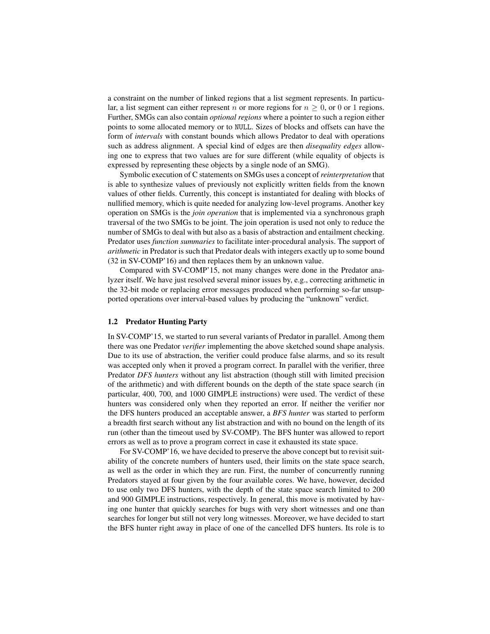a constraint on the number of linked regions that a list segment represents. In particular, a list segment can either represent n or more regions for  $n \geq 0$ , or 0 or 1 regions. Further, SMGs can also contain *optional regions* where a pointer to such a region either points to some allocated memory or to NULL. Sizes of blocks and offsets can have the form of *intervals* with constant bounds which allows Predator to deal with operations such as address alignment. A special kind of edges are then *disequality edges* allowing one to express that two values are for sure different (while equality of objects is expressed by representing these objects by a single node of an SMG).

Symbolic execution of C statements on SMGs uses a concept of*reinterpretation* that is able to synthesize values of previously not explicitly written fields from the known values of other fields. Currently, this concept is instantiated for dealing with blocks of nullified memory, which is quite needed for analyzing low-level programs. Another key operation on SMGs is the *join operation* that is implemented via a synchronous graph traversal of the two SMGs to be joint. The join operation is used not only to reduce the number of SMGs to deal with but also as a basis of abstraction and entailment checking. Predator uses *function summaries* to facilitate inter-procedural analysis. The support of *arithmetic* in Predator is such that Predator deals with integers exactly up to some bound (32 in SV-COMP'16) and then replaces them by an unknown value.

Compared with SV-COMP'15, not many changes were done in the Predator analyzer itself. We have just resolved several minor issues by, e.g., correcting arithmetic in the 32-bit mode or replacing error messages produced when performing so-far unsupported operations over interval-based values by producing the "unknown" verdict.

#### 1.2 Predator Hunting Party

In SV-COMP'15, we started to run several variants of Predator in parallel. Among them there was one Predator *verifier* implementing the above sketched sound shape analysis. Due to its use of abstraction, the verifier could produce false alarms, and so its result was accepted only when it proved a program correct. In parallel with the verifier, three Predator *DFS hunters* without any list abstraction (though still with limited precision of the arithmetic) and with different bounds on the depth of the state space search (in particular, 400, 700, and 1000 GIMPLE instructions) were used. The verdict of these hunters was considered only when they reported an error. If neither the verifier nor the DFS hunters produced an acceptable answer, a *BFS hunter* was started to perform a breadth first search without any list abstraction and with no bound on the length of its run (other than the timeout used by SV-COMP). The BFS hunter was allowed to report errors as well as to prove a program correct in case it exhausted its state space.

For SV-COMP'16, we have decided to preserve the above concept but to revisit suitability of the concrete numbers of hunters used, their limits on the state space search, as well as the order in which they are run. First, the number of concurrently running Predators stayed at four given by the four available cores. We have, however, decided to use only two DFS hunters, with the depth of the state space search limited to 200 and 900 GIMPLE instructions, respectively. In general, this move is motivated by having one hunter that quickly searches for bugs with very short witnesses and one than searches for longer but still not very long witnesses. Moreover, we have decided to start the BFS hunter right away in place of one of the cancelled DFS hunters. Its role is to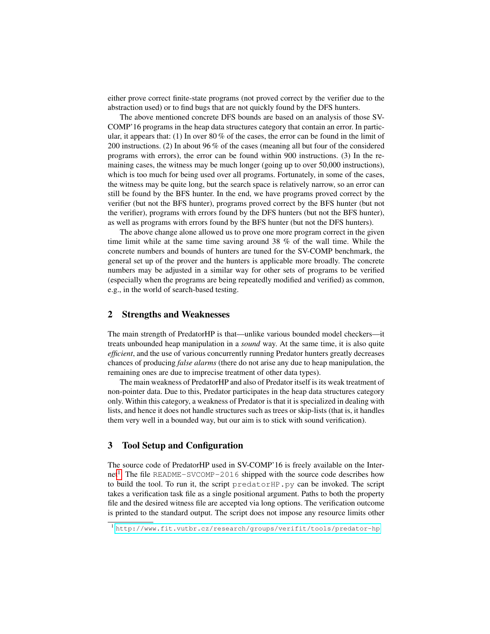either prove correct finite-state programs (not proved correct by the verifier due to the abstraction used) or to find bugs that are not quickly found by the DFS hunters.

The above mentioned concrete DFS bounds are based on an analysis of those SV-COMP'16 programs in the heap data structures category that contain an error. In particular, it appears that: (1) In over 80 % of the cases, the error can be found in the limit of 200 instructions. (2) In about 96 % of the cases (meaning all but four of the considered programs with errors), the error can be found within 900 instructions. (3) In the remaining cases, the witness may be much longer (going up to over 50,000 instructions), which is too much for being used over all programs. Fortunately, in some of the cases, the witness may be quite long, but the search space is relatively narrow, so an error can still be found by the BFS hunter. In the end, we have programs proved correct by the verifier (but not the BFS hunter), programs proved correct by the BFS hunter (but not the verifier), programs with errors found by the DFS hunters (but not the BFS hunter), as well as programs with errors found by the BFS hunter (but not the DFS hunters).

The above change alone allowed us to prove one more program correct in the given time limit while at the same time saving around 38 % of the wall time. While the concrete numbers and bounds of hunters are tuned for the SV-COMP benchmark, the general set up of the prover and the hunters is applicable more broadly. The concrete numbers may be adjusted in a similar way for other sets of programs to be verified (especially when the programs are being repeatedly modified and verified) as common, e.g., in the world of search-based testing.

## 2 Strengths and Weaknesses

The main strength of PredatorHP is that—unlike various bounded model checkers—it treats unbounded heap manipulation in a *sound* way. At the same time, it is also quite *efficient*, and the use of various concurrently running Predator hunters greatly decreases chances of producing *false alarms* (there do not arise any due to heap manipulation, the remaining ones are due to imprecise treatment of other data types).

The main weakness of PredatorHP and also of Predator itself is its weak treatment of non-pointer data. Due to this, Predator participates in the heap data structures category only. Within this category, a weakness of Predator is that it is specialized in dealing with lists, and hence it does not handle structures such as trees or skip-lists (that is, it handles them very well in a bounded way, but our aim is to stick with sound verification).

#### 3 Tool Setup and Configuration

The source code of PredatorHP used in SV-COMP'16 is freely available on the Inter- $net<sup>1</sup>$  $net<sup>1</sup>$  $net<sup>1</sup>$ . The file README-SVCOMP-2016 shipped with the source code describes how to build the tool. To run it, the script predatorHP.py can be invoked. The script takes a verification task file as a single positional argument. Paths to both the property file and the desired witness file are accepted via long options. The verification outcome is printed to the standard output. The script does not impose any resource limits other

<span id="page-2-0"></span><sup>1</sup> <http://www.fit.vutbr.cz/research/groups/verifit/tools/predator-hp>